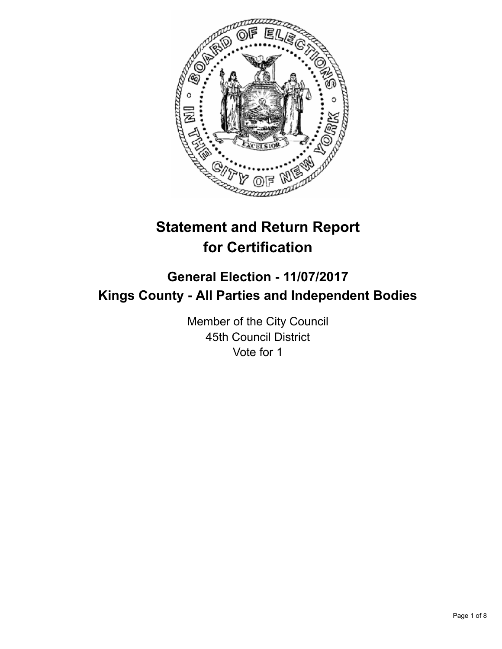

# **Statement and Return Report for Certification**

## **General Election - 11/07/2017 Kings County - All Parties and Independent Bodies**

Member of the City Council 45th Council District Vote for 1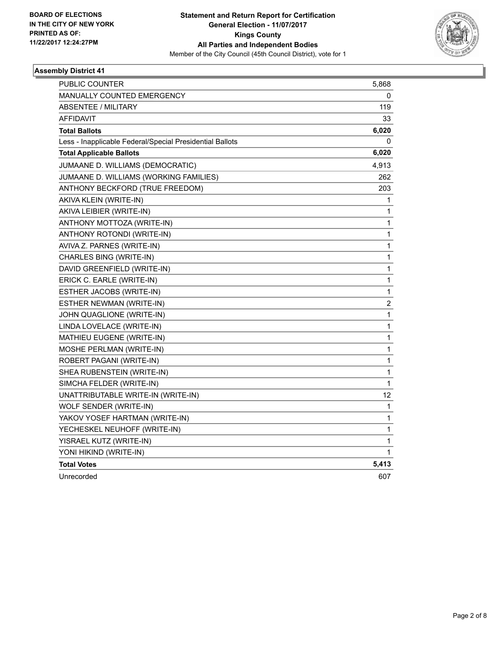

| <b>PUBLIC COUNTER</b>                                    | 5,868                   |
|----------------------------------------------------------|-------------------------|
| <b>MANUALLY COUNTED EMERGENCY</b>                        | 0                       |
| <b>ABSENTEE / MILITARY</b>                               | 119                     |
| <b>AFFIDAVIT</b>                                         | 33                      |
| <b>Total Ballots</b>                                     | 6,020                   |
| Less - Inapplicable Federal/Special Presidential Ballots | 0                       |
| <b>Total Applicable Ballots</b>                          | 6,020                   |
| JUMAANE D. WILLIAMS (DEMOCRATIC)                         | 4,913                   |
| JUMAANE D. WILLIAMS (WORKING FAMILIES)                   | 262                     |
| ANTHONY BECKFORD (TRUE FREEDOM)                          | 203                     |
| AKIVA KLEIN (WRITE-IN)                                   | 1                       |
| AKIVA LEIBIER (WRITE-IN)                                 | 1                       |
| ANTHONY MOTTOZA (WRITE-IN)                               | 1                       |
| ANTHONY ROTONDI (WRITE-IN)                               | 1                       |
| AVIVA Z. PARNES (WRITE-IN)                               | 1                       |
| CHARLES BING (WRITE-IN)                                  | 1                       |
| DAVID GREENFIELD (WRITE-IN)                              | 1                       |
| ERICK C. EARLE (WRITE-IN)                                | 1                       |
| ESTHER JACOBS (WRITE-IN)                                 | 1                       |
| ESTHER NEWMAN (WRITE-IN)                                 | $\overline{\mathbf{c}}$ |
| JOHN QUAGLIONE (WRITE-IN)                                | 1                       |
| LINDA LOVELACE (WRITE-IN)                                | $\mathbf{1}$            |
| MATHIEU EUGENE (WRITE-IN)                                | 1                       |
| MOSHE PERLMAN (WRITE-IN)                                 | 1                       |
| ROBERT PAGANI (WRITE-IN)                                 | 1                       |
| SHEA RUBENSTEIN (WRITE-IN)                               | 1                       |
| SIMCHA FELDER (WRITE-IN)                                 | 1                       |
| UNATTRIBUTABLE WRITE-IN (WRITE-IN)                       | 12                      |
| WOLF SENDER (WRITE-IN)                                   | 1                       |
| YAKOV YOSEF HARTMAN (WRITE-IN)                           | 1                       |
| YECHESKEL NEUHOFF (WRITE-IN)                             | 1                       |
| YISRAEL KUTZ (WRITE-IN)                                  | 1                       |
| YONI HIKIND (WRITE-IN)                                   | 1                       |
| <b>Total Votes</b>                                       | 5,413                   |
| Unrecorded                                               | 607                     |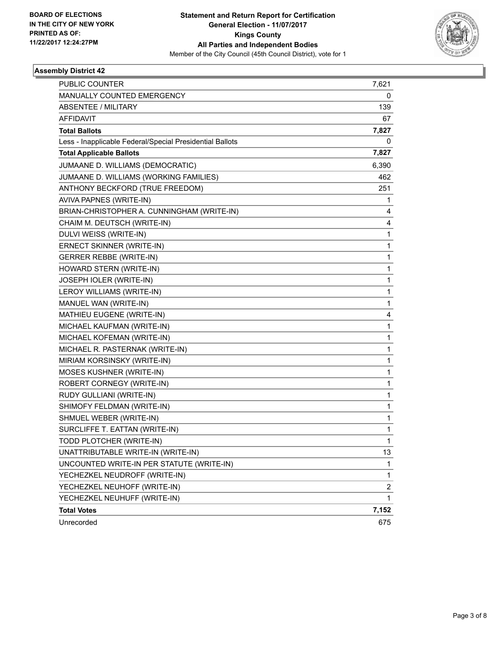

| <b>PUBLIC COUNTER</b>                                    | 7,621                   |
|----------------------------------------------------------|-------------------------|
| MANUALLY COUNTED EMERGENCY                               | 0                       |
| <b>ABSENTEE / MILITARY</b>                               | 139                     |
| <b>AFFIDAVIT</b>                                         | 67                      |
| <b>Total Ballots</b>                                     | 7,827                   |
| Less - Inapplicable Federal/Special Presidential Ballots | 0                       |
| <b>Total Applicable Ballots</b>                          | 7,827                   |
| JUMAANE D. WILLIAMS (DEMOCRATIC)                         | 6,390                   |
| JUMAANE D. WILLIAMS (WORKING FAMILIES)                   | 462                     |
| ANTHONY BECKFORD (TRUE FREEDOM)                          | 251                     |
| AVIVA PAPNES (WRITE-IN)                                  | 1                       |
| BRIAN-CHRISTOPHER A. CUNNINGHAM (WRITE-IN)               | 4                       |
| CHAIM M. DEUTSCH (WRITE-IN)                              | 4                       |
| DULVI WEISS (WRITE-IN)                                   | 1                       |
| ERNECT SKINNER (WRITE-IN)                                | 1                       |
| <b>GERRER REBBE (WRITE-IN)</b>                           | 1                       |
| HOWARD STERN (WRITE-IN)                                  | 1                       |
| JOSEPH IOLER (WRITE-IN)                                  | 1                       |
| LEROY WILLIAMS (WRITE-IN)                                | 1                       |
| MANUEL WAN (WRITE-IN)                                    | 1                       |
| MATHIEU EUGENE (WRITE-IN)                                | 4                       |
| MICHAEL KAUFMAN (WRITE-IN)                               | 1                       |
| MICHAEL KOFEMAN (WRITE-IN)                               | 1                       |
| MICHAEL R. PASTERNAK (WRITE-IN)                          | 1                       |
| MIRIAM KORSINSKY (WRITE-IN)                              | 1                       |
| MOSES KUSHNER (WRITE-IN)                                 | 1                       |
| ROBERT CORNEGY (WRITE-IN)                                | 1                       |
| RUDY GULLIANI (WRITE-IN)                                 | 1                       |
| SHIMOFY FELDMAN (WRITE-IN)                               | 1                       |
| SHMUEL WEBER (WRITE-IN)                                  | 1                       |
| SURCLIFFE T. EATTAN (WRITE-IN)                           | 1                       |
| TODD PLOTCHER (WRITE-IN)                                 | 1                       |
| UNATTRIBUTABLE WRITE-IN (WRITE-IN)                       | 13                      |
| UNCOUNTED WRITE-IN PER STATUTE (WRITE-IN)                | 1                       |
| YECHEZKEL NEUDROFF (WRITE-IN)                            | 1                       |
| YECHEZKEL NEUHOFF (WRITE-IN)                             | $\overline{\mathbf{c}}$ |
| YECHEZKEL NEUHUFF (WRITE-IN)                             | 1                       |
| <b>Total Votes</b>                                       | 7,152                   |
| Unrecorded                                               | 675                     |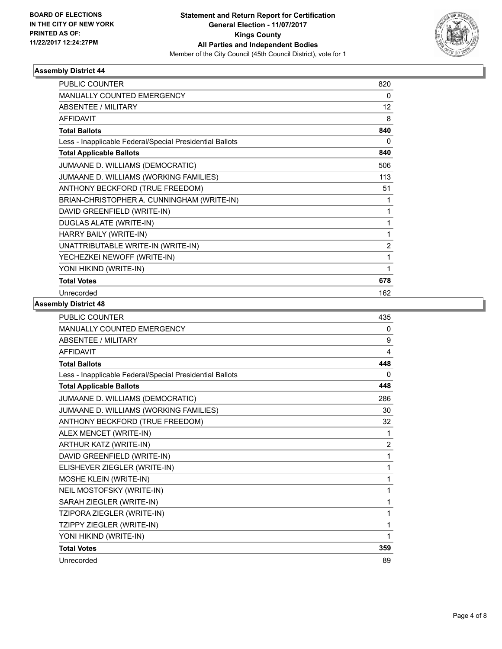

| PUBLIC COUNTER                                           | 820            |
|----------------------------------------------------------|----------------|
| <b>MANUALLY COUNTED EMERGENCY</b>                        | 0              |
| ABSENTEE / MILITARY                                      | 12             |
| <b>AFFIDAVIT</b>                                         | 8              |
| <b>Total Ballots</b>                                     | 840            |
| Less - Inapplicable Federal/Special Presidential Ballots | 0              |
| <b>Total Applicable Ballots</b>                          | 840            |
| JUMAANE D. WILLIAMS (DEMOCRATIC)                         | 506            |
| JUMAANE D. WILLIAMS (WORKING FAMILIES)                   | 113            |
| ANTHONY BECKFORD (TRUE FREEDOM)                          | 51             |
| BRIAN-CHRISTOPHER A. CUNNINGHAM (WRITE-IN)               | 1              |
| DAVID GREENFIELD (WRITE-IN)                              | 1              |
| <b>DUGLAS ALATE (WRITE-IN)</b>                           | 1              |
| HARRY BAILY (WRITE-IN)                                   | 1              |
| UNATTRIBUTABLE WRITE-IN (WRITE-IN)                       | $\overline{2}$ |
| YECHEZKEI NEWOFF (WRITE-IN)                              | 1              |
| YONI HIKIND (WRITE-IN)                                   | 1              |
| <b>Total Votes</b>                                       | 678            |
| Unrecorded                                               | 162            |

| PUBLIC COUNTER                                           | 435            |
|----------------------------------------------------------|----------------|
| <b>MANUALLY COUNTED EMERGENCY</b>                        | 0              |
| <b>ABSENTEE / MILITARY</b>                               | 9              |
| <b>AFFIDAVIT</b>                                         | 4              |
| <b>Total Ballots</b>                                     | 448            |
| Less - Inapplicable Federal/Special Presidential Ballots | 0              |
| <b>Total Applicable Ballots</b>                          | 448            |
| JUMAANE D. WILLIAMS (DEMOCRATIC)                         | 286            |
| JUMAANE D. WILLIAMS (WORKING FAMILIES)                   | 30             |
| ANTHONY BECKFORD (TRUE FREEDOM)                          | 32             |
| ALEX MENCET (WRITE-IN)                                   | 1              |
| ARTHUR KATZ (WRITE-IN)                                   | $\overline{2}$ |
| DAVID GREENFIELD (WRITE-IN)                              | 1              |
| ELISHEVER ZIEGLER (WRITE-IN)                             | 1              |
| MOSHE KLEIN (WRITE-IN)                                   | 1              |
| NEIL MOSTOFSKY (WRITE-IN)                                | 1              |
| SARAH ZIEGLER (WRITE-IN)                                 | 1              |
| TZIPORA ZIEGLER (WRITE-IN)                               | 1              |
| TZIPPY ZIEGLER (WRITE-IN)                                | 1              |
| YONI HIKIND (WRITE-IN)                                   | 1              |
| <b>Total Votes</b>                                       | 359            |
| Unrecorded                                               | 89             |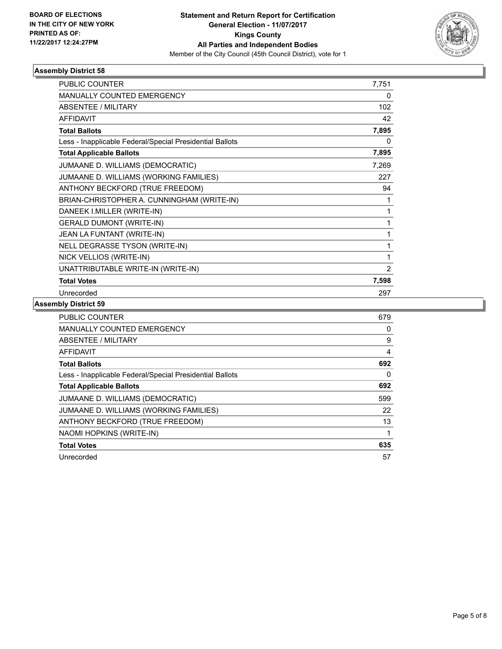

| PUBLIC COUNTER                                           | 7,751          |
|----------------------------------------------------------|----------------|
| <b>MANUALLY COUNTED EMERGENCY</b>                        | 0              |
| <b>ABSENTEE / MILITARY</b>                               | 102            |
| <b>AFFIDAVIT</b>                                         | 42             |
| <b>Total Ballots</b>                                     | 7,895          |
| Less - Inapplicable Federal/Special Presidential Ballots | 0              |
| <b>Total Applicable Ballots</b>                          | 7,895          |
| JUMAANE D. WILLIAMS (DEMOCRATIC)                         | 7,269          |
| JUMAANE D. WILLIAMS (WORKING FAMILIES)                   | 227            |
| ANTHONY BECKFORD (TRUE FREEDOM)                          | 94             |
| BRIAN-CHRISTOPHER A. CUNNINGHAM (WRITE-IN)               | 1              |
| DANEEK I.MILLER (WRITE-IN)                               | 1              |
| <b>GERALD DUMONT (WRITE-IN)</b>                          | 1              |
| JEAN LA FUNTANT (WRITE-IN)                               | 1              |
| NELL DEGRASSE TYSON (WRITE-IN)                           | 1              |
| NICK VELLIOS (WRITE-IN)                                  | 1              |
| UNATTRIBUTABLE WRITE-IN (WRITE-IN)                       | $\overline{2}$ |
| <b>Total Votes</b>                                       | 7,598          |
| Unrecorded                                               | 297            |

| <b>PUBLIC COUNTER</b>                                    | 679 |
|----------------------------------------------------------|-----|
| <b>MANUALLY COUNTED EMERGENCY</b>                        | 0   |
| ABSENTEE / MILITARY                                      | 9   |
| AFFIDAVIT                                                | 4   |
| <b>Total Ballots</b>                                     | 692 |
| Less - Inapplicable Federal/Special Presidential Ballots | 0   |
| <b>Total Applicable Ballots</b>                          | 692 |
| JUMAANE D. WILLIAMS (DEMOCRATIC)                         | 599 |
| JUMAANE D. WILLIAMS (WORKING FAMILIES)                   | 22  |
| ANTHONY BECKFORD (TRUE FREEDOM)                          | 13  |
| NAOMI HOPKINS (WRITE-IN)                                 |     |
| <b>Total Votes</b>                                       | 635 |
| Unrecorded                                               | 57  |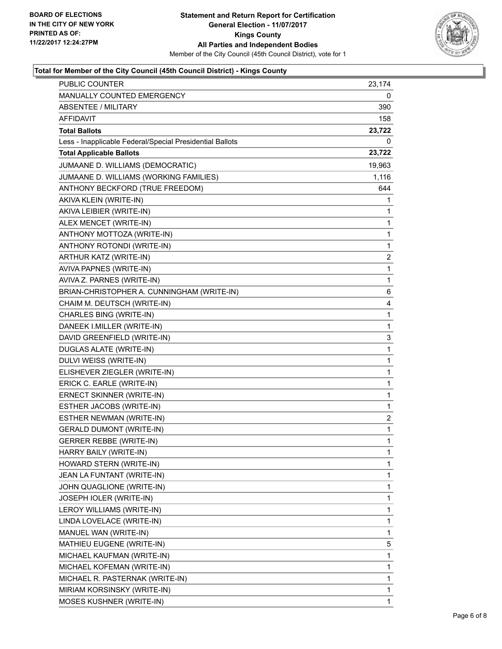

### **Total for Member of the City Council (45th Council District) - Kings County**

| PUBLIC COUNTER                                           | 23,174                  |
|----------------------------------------------------------|-------------------------|
| MANUALLY COUNTED EMERGENCY                               | 0                       |
| <b>ABSENTEE / MILITARY</b>                               | 390                     |
| AFFIDAVIT                                                | 158                     |
| <b>Total Ballots</b>                                     | 23,722                  |
| Less - Inapplicable Federal/Special Presidential Ballots | 0                       |
| <b>Total Applicable Ballots</b>                          | 23,722                  |
| JUMAANE D. WILLIAMS (DEMOCRATIC)                         | 19,963                  |
| JUMAANE D. WILLIAMS (WORKING FAMILIES)                   | 1,116                   |
| ANTHONY BECKFORD (TRUE FREEDOM)                          | 644                     |
| AKIVA KLEIN (WRITE-IN)                                   | 1                       |
| AKIVA LEIBIER (WRITE-IN)                                 | 1                       |
| ALEX MENCET (WRITE-IN)                                   | 1                       |
| ANTHONY MOTTOZA (WRITE-IN)                               | 1                       |
| ANTHONY ROTONDI (WRITE-IN)                               | 1                       |
| ARTHUR KATZ (WRITE-IN)                                   | $\overline{\mathbf{c}}$ |
| AVIVA PAPNES (WRITE-IN)                                  | 1                       |
| AVIVA Z. PARNES (WRITE-IN)                               | $\mathbf{1}$            |
| BRIAN-CHRISTOPHER A. CUNNINGHAM (WRITE-IN)               | 6                       |
| CHAIM M. DEUTSCH (WRITE-IN)                              | 4                       |
| CHARLES BING (WRITE-IN)                                  | 1                       |
| DANEEK I.MILLER (WRITE-IN)                               | 1                       |
| DAVID GREENFIELD (WRITE-IN)                              | 3                       |
| <b>DUGLAS ALATE (WRITE-IN)</b>                           | 1                       |
| DULVI WEISS (WRITE-IN)                                   | 1                       |
| ELISHEVER ZIEGLER (WRITE-IN)                             | 1                       |
| ERICK C. EARLE (WRITE-IN)                                | 1                       |
| ERNECT SKINNER (WRITE-IN)                                | 1                       |
| ESTHER JACOBS (WRITE-IN)                                 | 1                       |
| ESTHER NEWMAN (WRITE-IN)                                 | 2                       |
| <b>GERALD DUMONT (WRITE-IN)</b>                          | $\mathbf{1}$            |
| <b>GERRER REBBE (WRITE-IN)</b>                           | 1                       |
| HARRY BAILY (WRITE-IN)                                   | 1                       |
| HOWARD STERN (WRITE-IN)                                  | 1                       |
| JEAN LA FUNTANT (WRITE-IN)                               | 1                       |
| JOHN QUAGLIONE (WRITE-IN)                                | $\mathbf{1}$            |
| JOSEPH IOLER (WRITE-IN)                                  | 1                       |
| LEROY WILLIAMS (WRITE-IN)                                | 1                       |
| LINDA LOVELACE (WRITE-IN)                                | 1                       |
| MANUEL WAN (WRITE-IN)                                    | 1                       |
| MATHIEU EUGENE (WRITE-IN)                                | 5                       |
| MICHAEL KAUFMAN (WRITE-IN)                               | $\mathbf{1}$            |
| MICHAEL KOFEMAN (WRITE-IN)                               | 1                       |
| MICHAEL R. PASTERNAK (WRITE-IN)                          | 1                       |
| MIRIAM KORSINSKY (WRITE-IN)                              | 1                       |
| MOSES KUSHNER (WRITE-IN)                                 | 1                       |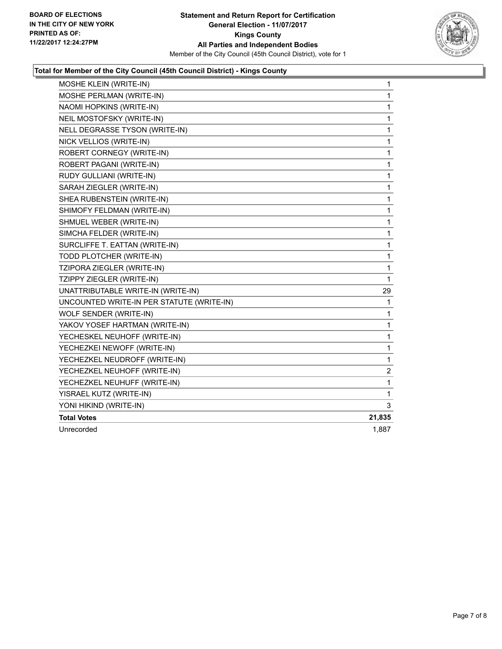

### **Total for Member of the City Council (45th Council District) - Kings County**

| MOSHE KLEIN (WRITE-IN)                    | 1            |
|-------------------------------------------|--------------|
| MOSHE PERLMAN (WRITE-IN)                  | 1            |
| NAOMI HOPKINS (WRITE-IN)                  | 1            |
| NEIL MOSTOFSKY (WRITE-IN)                 | 1            |
| NELL DEGRASSE TYSON (WRITE-IN)            | 1            |
| NICK VELLIOS (WRITE-IN)                   | 1            |
| ROBERT CORNEGY (WRITE-IN)                 | $\mathbf{1}$ |
| ROBERT PAGANI (WRITE-IN)                  | 1            |
| RUDY GULLIANI (WRITE-IN)                  | 1            |
| SARAH ZIEGLER (WRITE-IN)                  | 1            |
| SHEA RUBENSTEIN (WRITE-IN)                | 1            |
| SHIMOFY FELDMAN (WRITE-IN)                | 1            |
| SHMUEL WEBER (WRITE-IN)                   | $\mathbf{1}$ |
| SIMCHA FELDER (WRITE-IN)                  | 1            |
| SURCLIFFE T. EATTAN (WRITE-IN)            | 1            |
| TODD PLOTCHER (WRITE-IN)                  | 1            |
| TZIPORA ZIEGLER (WRITE-IN)                | 1            |
| TZIPPY ZIEGLER (WRITE-IN)                 | $\mathbf{1}$ |
| UNATTRIBUTABLE WRITE-IN (WRITE-IN)        | 29           |
| UNCOUNTED WRITE-IN PER STATUTE (WRITE-IN) | 1            |
| WOLF SENDER (WRITE-IN)                    | 1            |
| YAKOV YOSEF HARTMAN (WRITE-IN)            | $\mathbf{1}$ |
| YECHESKEL NEUHOFF (WRITE-IN)              | 1            |
| YECHEZKEI NEWOFF (WRITE-IN)               | 1            |
| YECHEZKEL NEUDROFF (WRITE-IN)             | 1            |
| YECHEZKEL NEUHOFF (WRITE-IN)              | 2            |
| YECHEZKEL NEUHUFF (WRITE-IN)              | 1            |
| YISRAEL KUTZ (WRITE-IN)                   | 1            |
| YONI HIKIND (WRITE-IN)                    | 3            |
| <b>Total Votes</b>                        | 21,835       |
| Unrecorded                                | 1,887        |
|                                           |              |